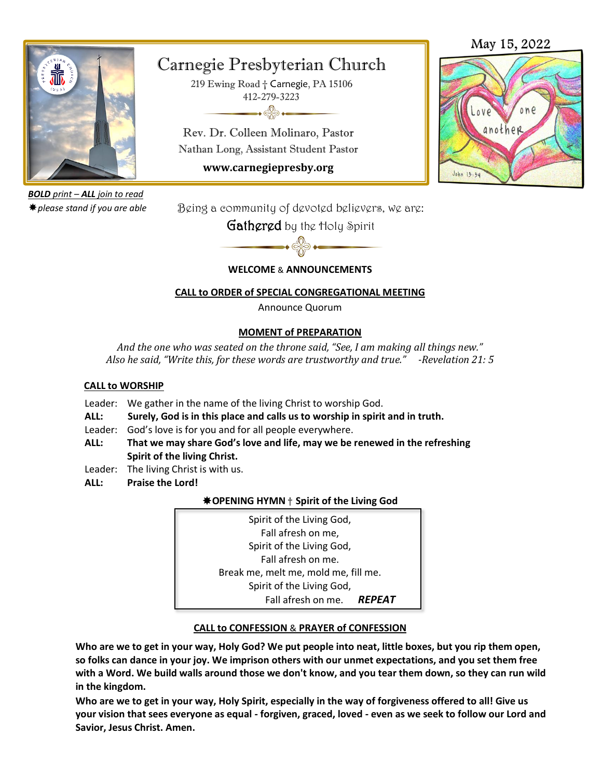

*BOLD print – ALL join to read please stand if you are able*

# Carnegie Presbyterian Church

219 Ewing Road † Carnegie, PA 15106 412-279-3223  $\rightarrow$ 

Rev. Dr. Colleen Molinaro, Pastor Nathan Long, Assistant Student Pastor

**www.carnegiepresby.org**

# May 15, 2022



Being a community of devoted believers, we are:

Gathered by the Holy Spirit

## **WELCOME** & **ANNOUNCEMENTS**

## **CALL to ORDER of SPECIAL CONGREGATIONAL MEETING**

Announce Quorum

## **MOMENT of PREPARATION**

*And the one who was seated on the throne said, "See, I am making all things new." Also he said, "Write this, for these words are trustworthy and true." -Revelation 21: 5*

### **CALL to WORSHIP**

- Leader: We gather in the name of the living Christ to worship God.
- **ALL: Surely, God is in this place and calls us to worship in spirit and in truth.**
- Leader: God's love is for you and for all people everywhere.
- **ALL: That we may share God's love and life, may we be renewed in the refreshing Spirit of the living Christ.**
- Leader: The living Christ is with us.
- **ALL: Praise the Lord!**

## **OPENING HYMN** † **Spirit of the Living God**

Spirit of the Living God, Fall afresh on me, Spirit of the Living God, Fall afresh on me. Break me, melt me, mold me, fill me. Spirit of the Living God, Fall afresh on me. *REPEAT*

## **CALL to CONFESSION** & **PRAYER of CONFESSION**

**Who are we to get in your way, Holy God? We put people into neat, little boxes, but you rip them open, so folks can dance in your joy. We imprison others with our unmet expectations, and you set them free with a Word. We build walls around those we don't know, and you tear them down, so they can run wild in the kingdom.** 

**Who are we to get in your way, Holy Spirit, especially in the way of forgiveness offered to all! Give us your vision that sees everyone as equal - forgiven, graced, loved - even as we seek to follow our Lord and Savior, Jesus Christ. Amen.**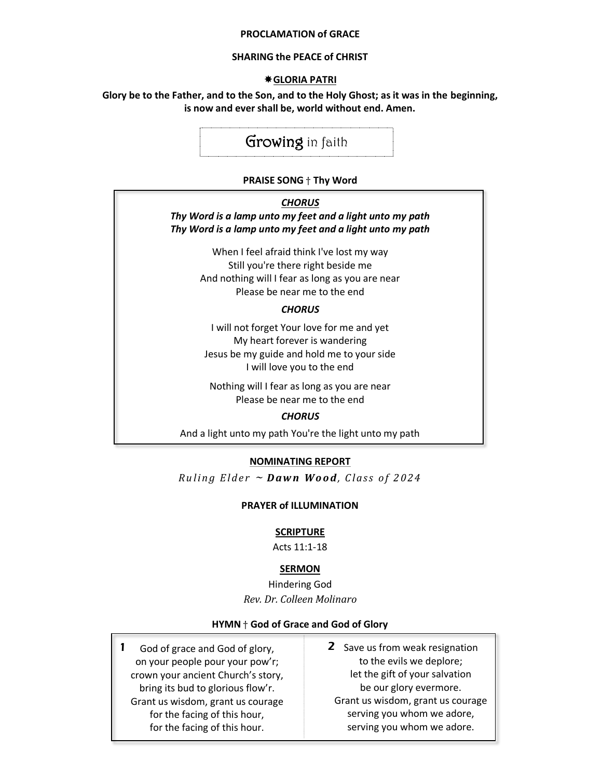#### **PROCLAMATION of GRACE**

#### **SHARING the PEACE of CHRIST**

#### **GLORIA PATRI**

#### **Glory be to the Father, and to the Son, and to the Holy Ghost; as it was in the beginning, is now and ever shall be, world without end. Amen.**

## Growing in faith

#### **PRAISE SONG** † **Thy Word**

#### *CHORUS*

*Thy Word is a lamp unto my feet and a light unto my path Thy Word is a lamp unto my feet and a light unto my path*

> When I feel afraid think I've lost my way Still you're there right beside me And nothing will I fear as long as you are near Please be near me to the end

#### *CHORUS*

I will not forget Your love for me and yet My heart forever is wandering Jesus be my guide and hold me to your side I will love you to the end

Nothing will I fear as long as you are near Please be near me to the end

#### *CHORUS*

And a light unto my path You're the light unto my path

#### **NOMINATING REPORT**

*Ruling Elder*  $\sim$  *Dawn Wood, Class of 2024* 

#### **PRAYER of ILLUMINATION**

#### **SCRIPTURE**

Acts 11:1-18

#### **SERMON**

Hindering God *Rev. Dr. Colleen Molinaro*

#### **HYMN** † **God of Grace and God of Glory**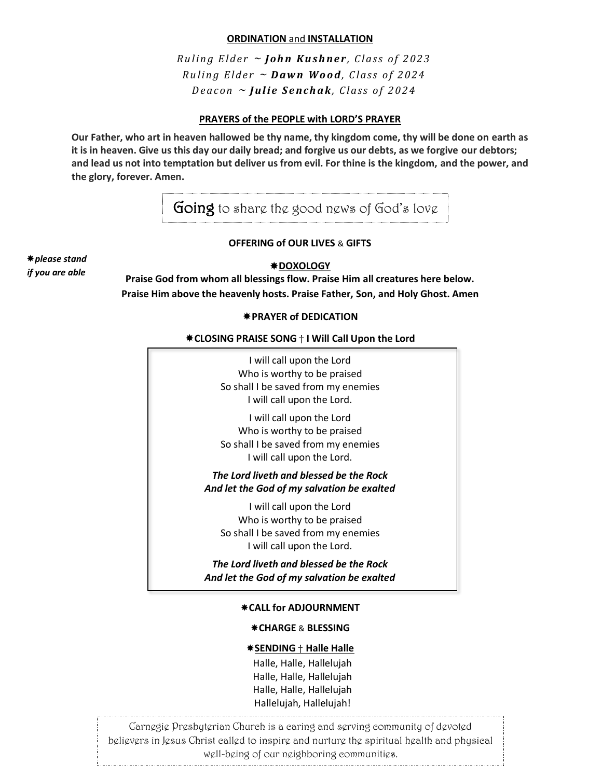#### **ORDINATION** and **INSTALLATION**

*Ruling Elder* ~ *John Kushner*, *Class of 2023 R u l i n g E l d e r* <sup>~</sup> *D aw n W o o d, C l as s o f 2 0 24 Deacon ~ Julie Senchak, Class of 2024* 

#### **PRAYERS of the PEOPLE with LORD'S PRAYER**

**Our Father, who art in heaven hallowed be thy name, thy kingdom come, thy will be done on earth as it is in heaven. Give us this day our daily bread; and forgive us our debts, as we forgive our debtors; and lead us not into temptation but deliver us from evil. For thine is the kingdom, and the power, and the glory, forever. Amen.**

Going to share the good news of God's love

#### **OFFERING of OUR LIVES** & **GIFTS**

*please stand if you are able*

#### **DOXOLOGY**

**Praise God from whom all blessings flow. Praise Him all creatures here below. Praise Him above the heavenly hosts. Praise Father, Son, and Holy Ghost. Amen**

#### **PRAYER of DEDICATION**

#### **CLOSING PRAISE SONG** † **I Will Call Upon the Lord**

| I will call upon the Lord<br>Who is worthy to be praised<br>So shall I be saved from my enemies<br>I will call upon the Lord.<br>I will call upon the Lord |
|------------------------------------------------------------------------------------------------------------------------------------------------------------|
| Who is worthy to be praised<br>So shall I be saved from my enemies<br>I will call upon the Lord.                                                           |
| The Lord liveth and blessed be the Rock<br>And let the God of my salvation be exalted                                                                      |
| I will call upon the Lord<br>Who is worthy to be praised<br>So shall I be saved from my enemies<br>I will call upon the Lord.                              |
| The Lord liveth and blessed be the Rock<br>And let the God of my salvation be exalted                                                                      |
| *CALL for ADJOURNMENT                                                                                                                                      |
| <b>*CHARGE &amp; BLESSING</b>                                                                                                                              |

#### **SENDING** † **Halle Halle**

 Halle, Halle, Hallelujah Halle, Halle, Hallelujah Halle, Halle, Hallelujah Hallelujah, Hallelujah!

Carnegie Presbyterian Church is a caring and serving community of devoted believers in Jesus Christ called to inspire and nurture the spiritual health and physical well-being of our neighboring communities.